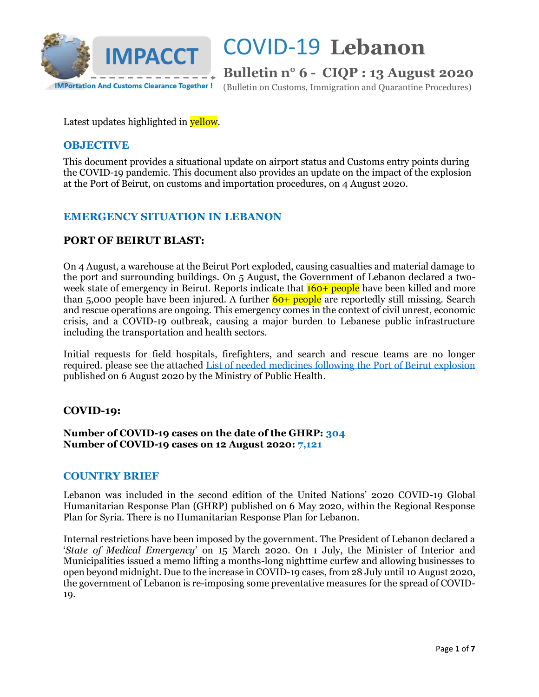

**Bulletin n° 6 - CIQP : 13 August 2020**

(Bulletin on Customs, Immigration and Quarantine Procedures)

Latest updates highlighted in **yellow**.

### **OBJECTIVE**

This document provides a situational update on airport status and Customs entry points during the COVID-19 pandemic. This document also provides an update on the impact of the explosion at the Port of Beirut, on customs and importation procedures, on 4 August 2020.

### **EMERGENCY SITUATION IN LEBANON**

### **PORT OF BEIRUT BLAST:**

On 4 August, a warehouse at the Beirut Port exploded, causing casualties and material damage to the port and surrounding buildings. On 5 August, the Government of Lebanon declared a twoweek state of emergency in Beirut. Reports indicate that  $160+$  people have been killed and more than 5,000 people have been injured. A further  $60+$  people are reportedly still missing. Search and rescue operations are ongoing. This emergency comes in the context of civil unrest, economic crisis, and a COVID-19 outbreak, causing a major burden to Lebanese public infrastructure including the transportation and health sectors.

Initial requests for field hospitals, firefighters, and search and rescue teams are no longer required. please see the attached [List of needed medicines following the Port of Beirut explosion](https://vosocc.unocha.org/GetFile.aspx?file=102398_Ministry_of_Public_Health_Lebanon_-_List_of_needed_items.pdf) published on 6 August 2020 by the Ministry of Public Health.

### **COVID-19:**

**Number of COVID-19 cases on the date of the GHRP: 304 Number of COVID-19 cases on 12 August 2020: 7,121**

### **COUNTRY BRIEF**

Lebanon was included in the second edition of the United Nations' 2020 COVID-19 Global Humanitarian Response Plan (GHRP) published on 6 May 2020, within the Regional Response Plan for Syria. There is no Humanitarian Response Plan for Lebanon.

Internal restrictions have been imposed by the government. The President of Lebanon declared a '*State of Medical Emergency*' on 15 March 2020. On 1 July, the Minister of Interior and Municipalities issued a memo lifting a months-long nighttime curfew and allowing businesses to open beyond midnight. Due to the increase in COVID-19 cases, from 28 July until 10 August 2020, the government of Lebanon is re-imposing some preventative measures for the spread of COVID-19.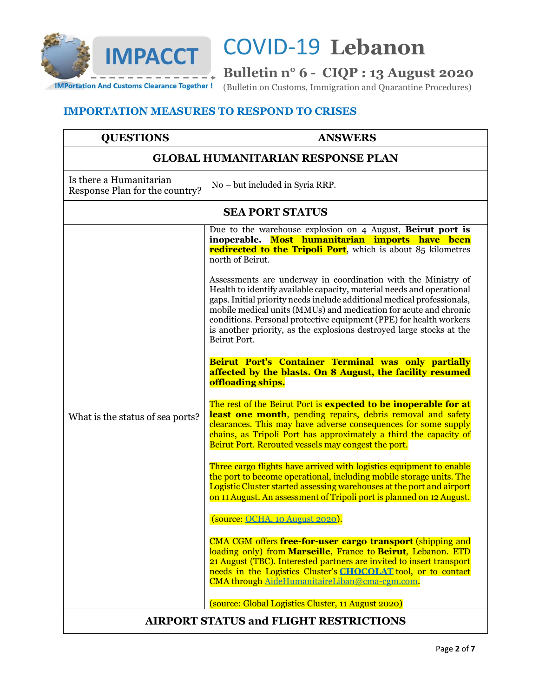

## **Bulletin n° 6 - CIQP : 13 August 2020**

IMPortation And Customs Clearance Together! (Bulletin on Customs, Immigration and Quarantine Procedures)

### **IMPORTATION MEASURES TO RESPOND TO CRISES**

| <b>QUESTIONS</b>                                          | <b>ANSWERS</b>                                                                                                                                                                                                                                                                                                                                                                                                                                                                                                                                                                                                                                                                                                                                                                                                                                                                                                                                                                                                                                                                                                                                                                                                                                                                                                                                                                                                                                                                                                                                                                                                                                                                                                                                                                                                                                           |  |
|-----------------------------------------------------------|----------------------------------------------------------------------------------------------------------------------------------------------------------------------------------------------------------------------------------------------------------------------------------------------------------------------------------------------------------------------------------------------------------------------------------------------------------------------------------------------------------------------------------------------------------------------------------------------------------------------------------------------------------------------------------------------------------------------------------------------------------------------------------------------------------------------------------------------------------------------------------------------------------------------------------------------------------------------------------------------------------------------------------------------------------------------------------------------------------------------------------------------------------------------------------------------------------------------------------------------------------------------------------------------------------------------------------------------------------------------------------------------------------------------------------------------------------------------------------------------------------------------------------------------------------------------------------------------------------------------------------------------------------------------------------------------------------------------------------------------------------------------------------------------------------------------------------------------------------|--|
| <b>GLOBAL HUMANITARIAN RESPONSE PLAN</b>                  |                                                                                                                                                                                                                                                                                                                                                                                                                                                                                                                                                                                                                                                                                                                                                                                                                                                                                                                                                                                                                                                                                                                                                                                                                                                                                                                                                                                                                                                                                                                                                                                                                                                                                                                                                                                                                                                          |  |
| Is there a Humanitarian<br>Response Plan for the country? | No – but included in Syria RRP.                                                                                                                                                                                                                                                                                                                                                                                                                                                                                                                                                                                                                                                                                                                                                                                                                                                                                                                                                                                                                                                                                                                                                                                                                                                                                                                                                                                                                                                                                                                                                                                                                                                                                                                                                                                                                          |  |
| <b>SEA PORT STATUS</b>                                    |                                                                                                                                                                                                                                                                                                                                                                                                                                                                                                                                                                                                                                                                                                                                                                                                                                                                                                                                                                                                                                                                                                                                                                                                                                                                                                                                                                                                                                                                                                                                                                                                                                                                                                                                                                                                                                                          |  |
| What is the status of sea ports?                          | Due to the warehouse explosion on 4 August, Beirut port is<br>inoperable. Most humanitarian imports have been<br><b>redirected to the Tripoli Port</b> , which is about 85 kilometres<br>north of Beirut.<br>Assessments are underway in coordination with the Ministry of<br>Health to identify available capacity, material needs and operational<br>gaps. Initial priority needs include additional medical professionals,<br>mobile medical units (MMUs) and medication for acute and chronic<br>conditions. Personal protective equipment (PPE) for health workers<br>is another priority, as the explosions destroyed large stocks at the<br>Beirut Port.<br>Beirut Port's Container Terminal was only partially<br>affected by the blasts. On 8 August, the facility resumed<br>offloading ships.<br>The rest of the Beirut Port is expected to be inoperable for at<br>least one month, pending repairs, debris removal and safety<br>clearances. This may have adverse consequences for some supply<br>chains, as Tripoli Port has approximately a third the capacity of<br>Beirut Port. Rerouted vessels may congest the port.<br>Three cargo flights have arrived with logistics equipment to enable<br>the port to become operational, including mobile storage units. The<br>Logistic Cluster started assessing warehouses at the port and airport<br>on 11 August. An assessment of Tripoli port is planned on 12 August.<br>(source: OCHA, 10 August 2020).<br>CMA CGM offers free-for-user cargo transport (shipping and<br>loading only) from Marseille, France to Beirut, Lebanon. ETD<br>21 August (TBC). Interested partners are invited to insert transport<br>needs in the Logistics Cluster's CHOCOLAT tool, or to contact<br>CMA through AideHumanitaireLiban@cma-cgm.com.<br>(source: Global Logistics Cluster, 11 August 2020) |  |
| <b>AIRPORT STATUS and FLIGHT RESTRICTIONS</b>             |                                                                                                                                                                                                                                                                                                                                                                                                                                                                                                                                                                                                                                                                                                                                                                                                                                                                                                                                                                                                                                                                                                                                                                                                                                                                                                                                                                                                                                                                                                                                                                                                                                                                                                                                                                                                                                                          |  |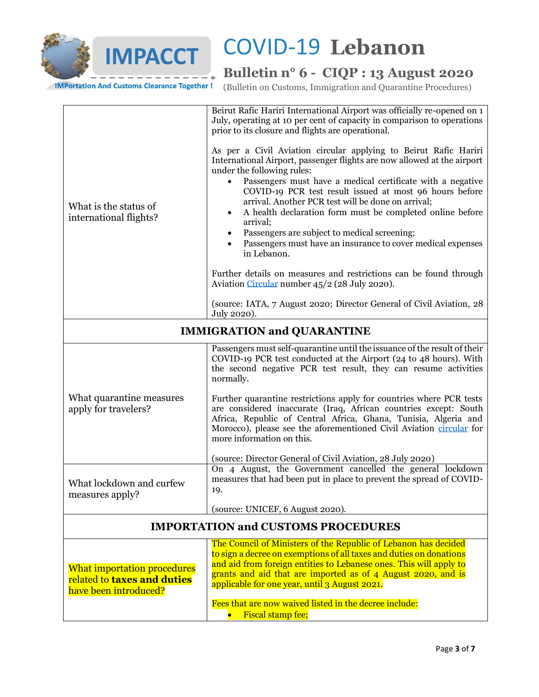

## **Bulletin n° 6 - CIQP : 13 August 2020**

**IMPortation And Customs Clearance Together!** 

(Bulletin on Customs, Immigration and Quarantine Procedures)

| Aviation Circular number 45/2 (28 July 2020).<br>(source: IATA, 7 August 2020; Director General of Civil Aviation, 28<br>July 2020).<br><b>IMMIGRATION and QUARANTINE</b><br>Passengers must self-quarantine until the issuance of the result of their<br>COVID-19 PCR test conducted at the Airport (24 to 48 hours). With<br>the second negative PCR test result, they can resume activities<br>normally.<br>What quarantine measures<br>Further quarantine restrictions apply for countries where PCR tests<br>are considered inaccurate (Iraq, African countries except: South<br>apply for travelers?<br>Africa, Republic of Central Africa, Ghana, Tunisia, Algeria and<br>Morocco), please see the aforementioned Civil Aviation circular for<br>more information on this.<br>(source: Director General of Civil Aviation, 28 July 2020)<br>On 4 August, the Government cancelled the general lockdown<br>measures that had been put in place to prevent the spread of COVID-<br>What lockdown and curfew<br>19.<br>measures apply?<br>(source: UNICEF, 6 August 2020).<br><b>IMPORTATION and CUSTOMS PROCEDURES</b><br>The Council of Ministers of the Republic of Lebanon has decided<br>to sign a decree on exemptions of all taxes and duties on donations<br>and aid from foreign entities to Lebanese ones. This will apply to<br><b>What importation procedures</b><br>grants and aid that are imported as of 4 August 2020, and is<br>related to taxes and duties<br>applicable for one year, until 3 August 2021.<br>have been introduced?<br>Fees that are now waived listed in the decree include: | What is the status of<br>international flights? | Beirut Rafic Hariri International Airport was officially re-opened on 1<br>July, operating at 10 per cent of capacity in comparison to operations<br>prior to its closure and flights are operational.<br>As per a Civil Aviation circular applying to Beirut Rafic Hariri<br>International Airport, passenger flights are now allowed at the airport<br>under the following rules:<br>Passengers must have a medical certificate with a negative<br>COVID-19 PCR test result issued at most 96 hours before<br>arrival. Another PCR test will be done on arrival;<br>A health declaration form must be completed online before<br>$\bullet$<br>arrival;<br>Passengers are subject to medical screening;<br>$\bullet$<br>Passengers must have an insurance to cover medical expenses<br>in Lebanon. |  |
|----------------------------------------------------------------------------------------------------------------------------------------------------------------------------------------------------------------------------------------------------------------------------------------------------------------------------------------------------------------------------------------------------------------------------------------------------------------------------------------------------------------------------------------------------------------------------------------------------------------------------------------------------------------------------------------------------------------------------------------------------------------------------------------------------------------------------------------------------------------------------------------------------------------------------------------------------------------------------------------------------------------------------------------------------------------------------------------------------------------------------------------------------------------------------------------------------------------------------------------------------------------------------------------------------------------------------------------------------------------------------------------------------------------------------------------------------------------------------------------------------------------------------------------------------------------------------------------------------------------------|-------------------------------------------------|-----------------------------------------------------------------------------------------------------------------------------------------------------------------------------------------------------------------------------------------------------------------------------------------------------------------------------------------------------------------------------------------------------------------------------------------------------------------------------------------------------------------------------------------------------------------------------------------------------------------------------------------------------------------------------------------------------------------------------------------------------------------------------------------------------|--|
|                                                                                                                                                                                                                                                                                                                                                                                                                                                                                                                                                                                                                                                                                                                                                                                                                                                                                                                                                                                                                                                                                                                                                                                                                                                                                                                                                                                                                                                                                                                                                                                                                      |                                                 | Further details on measures and restrictions can be found through                                                                                                                                                                                                                                                                                                                                                                                                                                                                                                                                                                                                                                                                                                                                   |  |
|                                                                                                                                                                                                                                                                                                                                                                                                                                                                                                                                                                                                                                                                                                                                                                                                                                                                                                                                                                                                                                                                                                                                                                                                                                                                                                                                                                                                                                                                                                                                                                                                                      |                                                 |                                                                                                                                                                                                                                                                                                                                                                                                                                                                                                                                                                                                                                                                                                                                                                                                     |  |
|                                                                                                                                                                                                                                                                                                                                                                                                                                                                                                                                                                                                                                                                                                                                                                                                                                                                                                                                                                                                                                                                                                                                                                                                                                                                                                                                                                                                                                                                                                                                                                                                                      |                                                 |                                                                                                                                                                                                                                                                                                                                                                                                                                                                                                                                                                                                                                                                                                                                                                                                     |  |
|                                                                                                                                                                                                                                                                                                                                                                                                                                                                                                                                                                                                                                                                                                                                                                                                                                                                                                                                                                                                                                                                                                                                                                                                                                                                                                                                                                                                                                                                                                                                                                                                                      |                                                 |                                                                                                                                                                                                                                                                                                                                                                                                                                                                                                                                                                                                                                                                                                                                                                                                     |  |
|                                                                                                                                                                                                                                                                                                                                                                                                                                                                                                                                                                                                                                                                                                                                                                                                                                                                                                                                                                                                                                                                                                                                                                                                                                                                                                                                                                                                                                                                                                                                                                                                                      |                                                 |                                                                                                                                                                                                                                                                                                                                                                                                                                                                                                                                                                                                                                                                                                                                                                                                     |  |
|                                                                                                                                                                                                                                                                                                                                                                                                                                                                                                                                                                                                                                                                                                                                                                                                                                                                                                                                                                                                                                                                                                                                                                                                                                                                                                                                                                                                                                                                                                                                                                                                                      |                                                 |                                                                                                                                                                                                                                                                                                                                                                                                                                                                                                                                                                                                                                                                                                                                                                                                     |  |
|                                                                                                                                                                                                                                                                                                                                                                                                                                                                                                                                                                                                                                                                                                                                                                                                                                                                                                                                                                                                                                                                                                                                                                                                                                                                                                                                                                                                                                                                                                                                                                                                                      |                                                 |                                                                                                                                                                                                                                                                                                                                                                                                                                                                                                                                                                                                                                                                                                                                                                                                     |  |
|                                                                                                                                                                                                                                                                                                                                                                                                                                                                                                                                                                                                                                                                                                                                                                                                                                                                                                                                                                                                                                                                                                                                                                                                                                                                                                                                                                                                                                                                                                                                                                                                                      |                                                 |                                                                                                                                                                                                                                                                                                                                                                                                                                                                                                                                                                                                                                                                                                                                                                                                     |  |
|                                                                                                                                                                                                                                                                                                                                                                                                                                                                                                                                                                                                                                                                                                                                                                                                                                                                                                                                                                                                                                                                                                                                                                                                                                                                                                                                                                                                                                                                                                                                                                                                                      |                                                 |                                                                                                                                                                                                                                                                                                                                                                                                                                                                                                                                                                                                                                                                                                                                                                                                     |  |
|                                                                                                                                                                                                                                                                                                                                                                                                                                                                                                                                                                                                                                                                                                                                                                                                                                                                                                                                                                                                                                                                                                                                                                                                                                                                                                                                                                                                                                                                                                                                                                                                                      |                                                 |                                                                                                                                                                                                                                                                                                                                                                                                                                                                                                                                                                                                                                                                                                                                                                                                     |  |
|                                                                                                                                                                                                                                                                                                                                                                                                                                                                                                                                                                                                                                                                                                                                                                                                                                                                                                                                                                                                                                                                                                                                                                                                                                                                                                                                                                                                                                                                                                                                                                                                                      |                                                 | Fiscal stamp fee;                                                                                                                                                                                                                                                                                                                                                                                                                                                                                                                                                                                                                                                                                                                                                                                   |  |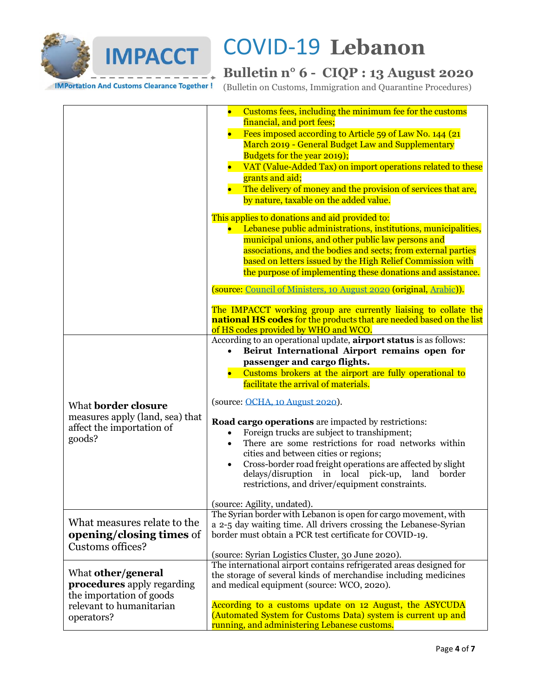

## **Bulletin n° 6 - CIQP : 13 August 2020**

**IMPortation And Customs Clearance Together!** 

(Bulletin on Customs, Immigration and Quarantine Procedures)

|                                                                                                                 | Customs fees, including the minimum fee for the customs<br>$\bullet$<br>financial, and port fees;<br>Fees imposed according to Article 59 of Law No. 144 (21)<br>March 2019 - General Budget Law and Supplementary<br>Budgets for the year 2019);<br>VAT (Value-Added Tax) on import operations related to these                                                                                                                                                                                                                                                                                                                                                                                                                         |
|-----------------------------------------------------------------------------------------------------------------|------------------------------------------------------------------------------------------------------------------------------------------------------------------------------------------------------------------------------------------------------------------------------------------------------------------------------------------------------------------------------------------------------------------------------------------------------------------------------------------------------------------------------------------------------------------------------------------------------------------------------------------------------------------------------------------------------------------------------------------|
|                                                                                                                 | grants and aid;<br>• The delivery of money and the provision of services that are,<br>by nature, taxable on the added value.                                                                                                                                                                                                                                                                                                                                                                                                                                                                                                                                                                                                             |
|                                                                                                                 | This applies to donations and aid provided to:<br>• Lebanese public administrations, institutions, municipalities,<br>municipal unions, and other public law persons and<br>associations, and the bodies and sects; from external parties<br>based on letters issued by the High Relief Commission with<br>the purpose of implementing these donations and assistance.                                                                                                                                                                                                                                                                                                                                                                   |
|                                                                                                                 | (source: Council of Ministers, 10 August 2020 (original, Arabic)).                                                                                                                                                                                                                                                                                                                                                                                                                                                                                                                                                                                                                                                                       |
|                                                                                                                 | The IMPACCT working group are currently liaising to collate the<br>national HS codes for the products that are needed based on the list<br>of HS codes provided by WHO and WCO.                                                                                                                                                                                                                                                                                                                                                                                                                                                                                                                                                          |
| What <b>border</b> closure<br>measures apply (land, sea) that<br>affect the importation of<br>goods?            | According to an operational update, <b>airport status</b> is as follows:<br>Beirut International Airport remains open for<br>$\bullet$<br>passenger and cargo flights.<br>Customs brokers at the airport are fully operational to<br>facilitate the arrival of materials.<br>(source: OCHA, 10 August 2020).<br>Road cargo operations are impacted by restrictions:<br>Foreign trucks are subject to transhipment;<br>$\bullet$<br>There are some restrictions for road networks within<br>$\bullet$<br>cities and between cities or regions;<br>Cross-border road freight operations are affected by slight<br>$\bullet$<br>delays/disruption in local<br>pick-up,<br>land<br>border<br>restrictions, and driver/equipment constraints. |
| What measures relate to the<br><b>opening/closing times of</b><br>Customs offices?                              | (source: Agility, undated).<br>The Syrian border with Lebanon is open for cargo movement, with<br>a 2-5 day waiting time. All drivers crossing the Lebanese-Syrian<br>border must obtain a PCR test certificate for COVID-19.<br>(source: Syrian Logistics Cluster, 30 June 2020).                                                                                                                                                                                                                                                                                                                                                                                                                                                       |
| What other/general<br><b>procedures</b> apply regarding<br>the importation of goods<br>relevant to humanitarian | The international airport contains refrigerated areas designed for<br>the storage of several kinds of merchandise including medicines<br>and medical equipment (source: WCO, 2020).<br>According to a customs update on 12 August, the ASYCUDA                                                                                                                                                                                                                                                                                                                                                                                                                                                                                           |
| operators?                                                                                                      | (Automated System for Customs Data) system is current up and<br>running, and administering Lebanese customs.                                                                                                                                                                                                                                                                                                                                                                                                                                                                                                                                                                                                                             |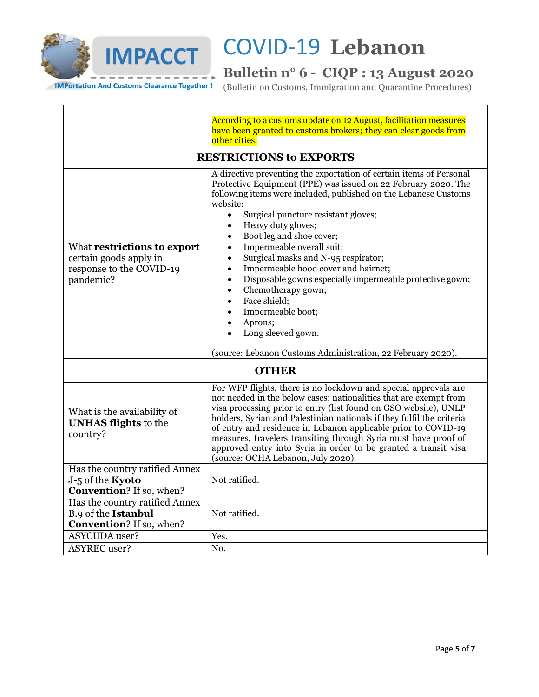

## **Bulletin n° 6 - CIQP : 13 August 2020**

(Bulletin on Customs, Immigration and Quarantine Procedures)

| According to a customs update on 12 August, facilitation measures<br>have been granted to customs brokers; they can clear goods from<br>other cities. |                                                                                                                                                                                                                                                                                                                                                                                                                                                                                                                                                                                                                                                                                                                                                                                    |  |
|-------------------------------------------------------------------------------------------------------------------------------------------------------|------------------------------------------------------------------------------------------------------------------------------------------------------------------------------------------------------------------------------------------------------------------------------------------------------------------------------------------------------------------------------------------------------------------------------------------------------------------------------------------------------------------------------------------------------------------------------------------------------------------------------------------------------------------------------------------------------------------------------------------------------------------------------------|--|
|                                                                                                                                                       | <b>RESTRICTIONS to EXPORTS</b>                                                                                                                                                                                                                                                                                                                                                                                                                                                                                                                                                                                                                                                                                                                                                     |  |
| What restrictions to export<br>certain goods apply in<br>response to the COVID-19<br>pandemic?                                                        | A directive preventing the exportation of certain items of Personal<br>Protective Equipment (PPE) was issued on 22 February 2020. The<br>following items were included, published on the Lebanese Customs<br>website:<br>Surgical puncture resistant gloves;<br>$\bullet$<br>Heavy duty gloves;<br>$\bullet$<br>Boot leg and shoe cover;<br>$\bullet$<br>Impermeable overall suit;<br>$\bullet$<br>Surgical masks and N-95 respirator;<br>$\bullet$<br>Impermeable hood cover and hairnet;<br>$\bullet$<br>Disposable gowns especially impermeable protective gown;<br>$\bullet$<br>Chemotherapy gown;<br>$\bullet$<br>Face shield;<br>$\bullet$<br>Impermeable boot;<br>$\bullet$<br>Aprons;<br>Long sleeved gown.<br>(source: Lebanon Customs Administration, 22 February 2020). |  |
| <b>OTHER</b>                                                                                                                                          |                                                                                                                                                                                                                                                                                                                                                                                                                                                                                                                                                                                                                                                                                                                                                                                    |  |
| What is the availability of<br><b>UNHAS flights</b> to the<br>country?                                                                                | For WFP flights, there is no lockdown and special approvals are<br>not needed in the below cases: nationalities that are exempt from<br>visa processing prior to entry (list found on GSO website), UNLP<br>holders, Syrian and Palestinian nationals if they fulfil the criteria<br>of entry and residence in Lebanon applicable prior to COVID-19<br>measures, travelers transiting through Syria must have proof of<br>approved entry into Syria in order to be granted a transit visa<br>(source: OCHA Lebanon, July 2020).                                                                                                                                                                                                                                                    |  |
| Has the country ratified Annex<br>J-5 of the Kyoto                                                                                                    | Not ratified.                                                                                                                                                                                                                                                                                                                                                                                                                                                                                                                                                                                                                                                                                                                                                                      |  |
| <b>Convention?</b> If so, when?<br>Has the country ratified Annex<br>B.9 of the Istanbul<br><b>Convention?</b> If so, when?                           | Not ratified.                                                                                                                                                                                                                                                                                                                                                                                                                                                                                                                                                                                                                                                                                                                                                                      |  |
| <b>ASYCUDA</b> user?                                                                                                                                  | Yes.                                                                                                                                                                                                                                                                                                                                                                                                                                                                                                                                                                                                                                                                                                                                                                               |  |
| <b>ASYREC</b> user?                                                                                                                                   | No.                                                                                                                                                                                                                                                                                                                                                                                                                                                                                                                                                                                                                                                                                                                                                                                |  |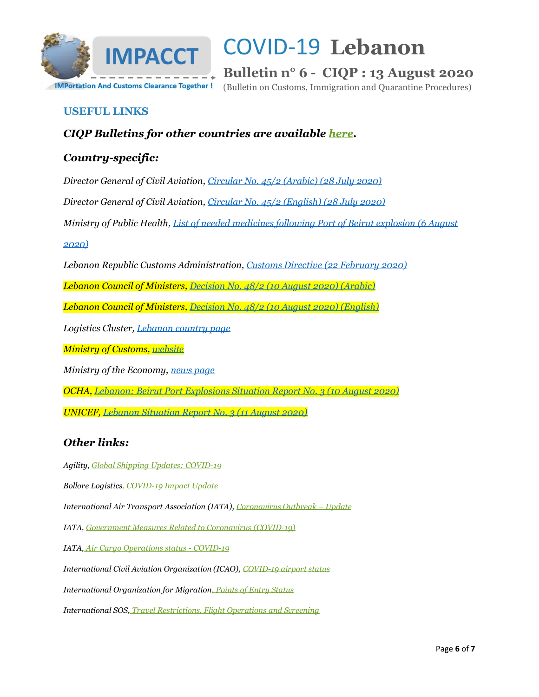

**Bulletin n° 6 - CIQP : 13 August 2020**

(Bulletin on Customs, Immigration and Quarantine Procedures)

### **USEFUL LINKS**

### *CIQP Bulletins for other countries are available [here.](https://vosocc.unocha.org/rss/5033w_Customs.html)*

### *Country-specific:*

*Director General of Civil Aviation, [Circular No. 45/2 \(Arabic\) \(28 July 2020\)](https://vosocc.unocha.org/GetFile.aspx?file=102395_COVID-19_-_Civil_Aviation_Circular_No.pdf)*

*Director General of Civil Aviation, [Circular No. 45/2 \(English\) \(28 July 2020\)](https://vosocc.unocha.org/GetFile.aspx?file=102394_COVID-19_-_Civil_Aviation_Circular_No.pdf)*

*Ministry of Public Health[, List of needed medicines following Port of Beirut explosion \(6 August](https://vosocc.unocha.org/GetFile.aspx?file=102398_Ministry_of_Public_Health_Lebanon_-_List_of_needed_items.pdf)* 

*[2020\)](https://vosocc.unocha.org/GetFile.aspx?file=102398_Ministry_of_Public_Health_Lebanon_-_List_of_needed_items.pdf)*

*Lebanon Republic Customs Administration, [Customs Directive \(22 February 2020\)](https://vosocc.unocha.org/GetFile.aspx?file=100892_Preventing%20the%20export%20of%20medical%20personal%20protective%20equipment%2022%20Feb%202020.pdf)*

*Lebanon Council of Ministers, [Decision No. 48/2 \(10 August 2020\) \(Arabic\)](https://vosocc.unocha.org/GetFile.aspx?file=102571_Lebanon_Council_of_Ministors_Decision_No.pdf)*

*Lebanon Council of Ministers, [Decision No. 48/2 \(10 August 2020\) \(English\)](https://vosocc.unocha.org/GetFile.aspx?file=102570_Lebanon_Council_of_Ministors_Decision_No.pdf)*

*Logistics Cluster[, Lebanon country page](https://logcluster.org/countries/LBN)*

*Ministry of Customs, [website](http://www.customs.gov.lb/)*

*Ministry of the Economy, [news page](https://www.economy.gov.lb/ar/announcements/)*

*OCHA, [Lebanon: Beirut Port Explosions Situation Report No. 3 \(10 August 2020\)](https://reliefweb.int/sites/reliefweb.int/files/resources/Beirut%20Port%20SitRep%20No.3.pdf)*

*UNICEF, [Lebanon Situation Report No. 3 \(11 August 2020\)](https://reliefweb.int/report/lebanon/unicef-lebanon-situation-report-no-3-beirut-explosions-11-august-2020)*

### *Other links:*

*Agility, [Global Shipping Updates: COVID-19](https://www.agility.com/insights/COVID19/homepage/)*

*Bollore Logistics[, COVID-19 Impact Update](https://www.bollore-logistics.com/en/Pages/COVID-19.aspx)*

*International Air Transport Association (IATA)[, Coronavirus Outbreak](https://www.iatatravelcentre.com/international-travel-document-news/1580226297.htm) – Update*

*IATA[, Government Measures Related to Coronavirus \(COVID-19\)](https://www.iata.org/en/programs/safety/health/diseases/government-measures-related-to-coronavirus/)*

*IATA, [Air Cargo Operations status -](https://www.tact-online.org/covid-19/carrier) COVID-19*

*International Civil Aviation Organization (ICAO)[, COVID-19 airport status](https://www.icao.int/safety/Pages/COVID-19-Airport-Status.aspx)*

*International Organization for Migration[, Points of Entry Status](https://migration.iom.int/)*

*International SOS, [Travel Restrictions, Flight Operations and Screening](https://pandemic.internationalsos.com/2019-ncov/ncov-travel-restrictions-flight-operations-and-screening)*